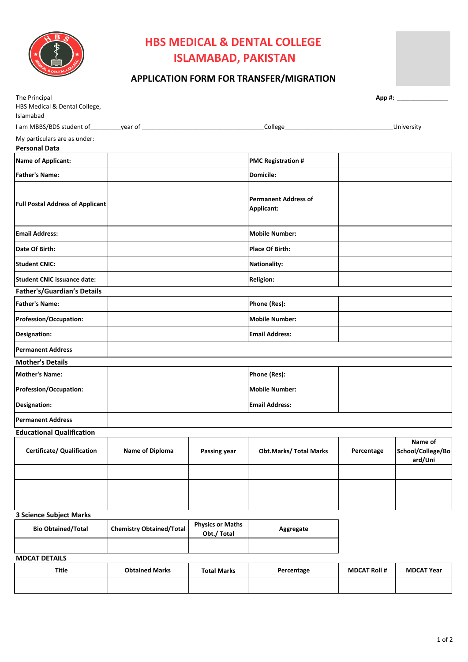

## **HBS MEDICAL & DENTAL COLLEGE ISLAMABAD, PAKISTAN**

## **APPLICATION FORM FOR TRANSFER/MIGRATION**

| The Principal                                        |                                 |                                        |                                           |            |                                         |
|------------------------------------------------------|---------------------------------|----------------------------------------|-------------------------------------------|------------|-----------------------------------------|
| HBS Medical & Dental College,<br>Islamabad           |                                 |                                        |                                           |            |                                         |
|                                                      |                                 |                                        |                                           |            | <b>University</b>                       |
| My particulars are as under:<br><b>Personal Data</b> |                                 |                                        |                                           |            |                                         |
| <b>Name of Applicant:</b>                            |                                 |                                        | <b>PMC Registration #</b>                 |            |                                         |
| <b>Father's Name:</b>                                |                                 |                                        | Domicile:                                 |            |                                         |
| <b>Full Postal Address of Applicant</b>              |                                 |                                        | <b>Permanent Address of</b><br>Applicant: |            |                                         |
| <b>Email Address:</b>                                |                                 |                                        | <b>Mobile Number:</b>                     |            |                                         |
| Date Of Birth:                                       |                                 |                                        | <b>Place Of Birth:</b>                    |            |                                         |
| <b>Student CNIC:</b>                                 |                                 |                                        | <b>Nationality:</b>                       |            |                                         |
| <b>Student CNIC issuance date:</b>                   |                                 |                                        | <b>Religion:</b>                          |            |                                         |
| Father's/Guardian's Details                          |                                 |                                        |                                           |            |                                         |
| <b>Father's Name:</b>                                |                                 |                                        | Phone (Res):                              |            |                                         |
| Profession/Occupation:                               |                                 |                                        | <b>Mobile Number:</b>                     |            |                                         |
| Designation:                                         |                                 |                                        | <b>Email Address:</b>                     |            |                                         |
| <b>Permanent Address</b>                             |                                 |                                        |                                           |            |                                         |
| <b>Mother's Details</b>                              |                                 |                                        |                                           |            |                                         |
| <b>Mother's Name:</b>                                |                                 |                                        | Phone (Res):                              |            |                                         |
| Profession/Occupation:                               |                                 |                                        | <b>Mobile Number:</b>                     |            |                                         |
| Designation:                                         |                                 |                                        | <b>Email Address:</b>                     |            |                                         |
| <b>Permanent Address</b>                             |                                 |                                        |                                           |            |                                         |
| <b>Educational Qualification</b>                     |                                 |                                        |                                           |            |                                         |
| <b>Certificate/ Qualification</b>                    | Name of Diploma                 | Passing year                           | <b>Obt.Marks/ Total Marks</b>             | Percentage | Name of<br>School/College/Bo<br>ard/Uni |
|                                                      |                                 |                                        |                                           |            |                                         |
|                                                      |                                 |                                        |                                           |            |                                         |
|                                                      |                                 |                                        |                                           |            |                                         |
| <b>3 Science Subject Marks</b>                       |                                 |                                        |                                           |            |                                         |
| <b>Bio Obtained/Total</b>                            | <b>Chemistry Obtained/Total</b> | <b>Physics or Maths</b><br>Obt./ Total | Aggregate                                 |            |                                         |
| <b>MDCAT DETAILS</b>                                 |                                 |                                        |                                           |            |                                         |

| Title | <b>Obtained Marks</b> | <b>Total Marks</b> | Percentage | <b>MDCAT Roll #</b> | <b>MDCAT Year</b> |
|-------|-----------------------|--------------------|------------|---------------------|-------------------|
|       |                       |                    |            |                     |                   |